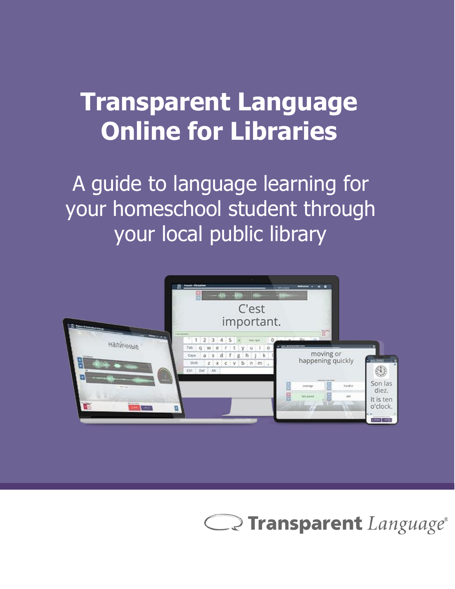# **Transparent Language Online for Libraries**

A guide to language learning for your homeschool student through your local public library



**Transparent** Language®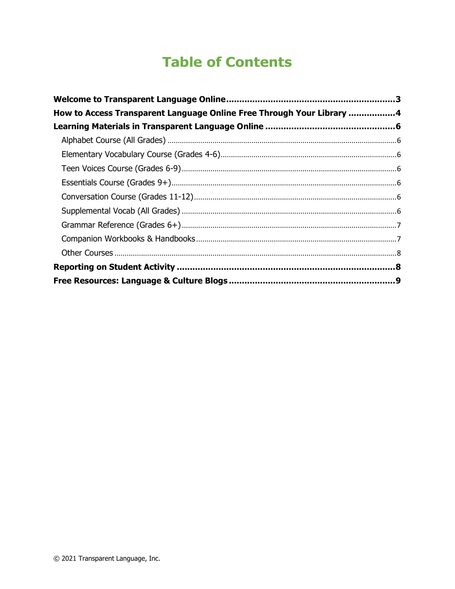# **Table of Contents**

| How to Access Transparent Language Online Free Through Your Library 4 |  |
|-----------------------------------------------------------------------|--|
|                                                                       |  |
|                                                                       |  |
|                                                                       |  |
|                                                                       |  |
|                                                                       |  |
|                                                                       |  |
|                                                                       |  |
|                                                                       |  |
|                                                                       |  |
|                                                                       |  |
|                                                                       |  |
|                                                                       |  |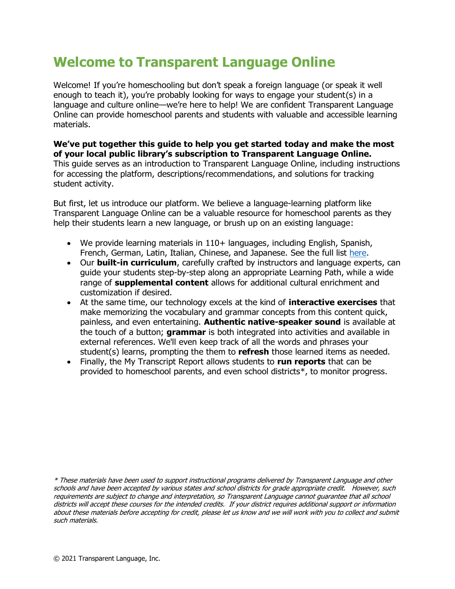# <span id="page-2-0"></span>**Welcome to Transparent Language Online**

Welcome! If you're homeschooling but don't speak a foreign language (or speak it well enough to teach it), you're probably looking for ways to engage your student(s) in a language and culture online—we're here to help! We are confident Transparent Language Online can provide homeschool parents and students with valuable and accessible learning materials.

### **We've put together this guide to help you get started today and make the most of your local public library's subscription to Transparent Language Online.**

This guide serves as an introduction to Transparent Language Online, including instructions for accessing the platform, descriptions/recommendations, and solutions for tracking student activity.

But first, let us introduce our platform. We believe a language-learning platform like Transparent Language Online can be a valuable resource for homeschool parents as they help their students learn a new language, or brush up on an existing language:

- We provide learning materials in 110+ languages, including English, Spanish, French, German, Latin, Italian, Chinese, and Japanese. See the full list [here.](https://home.transparent.com/transparent-language-online-available-languages)
- Our **built-in curriculum**, carefully crafted by instructors and language experts, can guide your students step-by-step along an appropriate Learning Path, while a wide range of **supplemental content** allows for additional cultural enrichment and customization if desired.
- At the same time, our technology excels at the kind of **interactive exercises** that make memorizing the vocabulary and grammar concepts from this content quick, painless, and even entertaining. **Authentic native-speaker sound** is available at the touch of a button; **grammar** is both integrated into activities and available in external references. We'll even keep track of all the words and phrases your student(s) learns, prompting the them to **refresh** those learned items as needed.
- Finally, the My Transcript Report allows students to **run reports** that can be provided to homeschool parents, and even school districts\*, to monitor progress.

<sup>\*</sup> These materials have been used to support instructional programs delivered by Transparent Language and other schools and have been accepted by various states and school districts for grade appropriate credit. However, such requirements are subject to change and interpretation, so Transparent Language cannot guarantee that all school districts will accept these courses for the intended credits. If your district requires additional support or information about these materials before accepting for credit, please let us know and we will work with you to collect and submit such materials.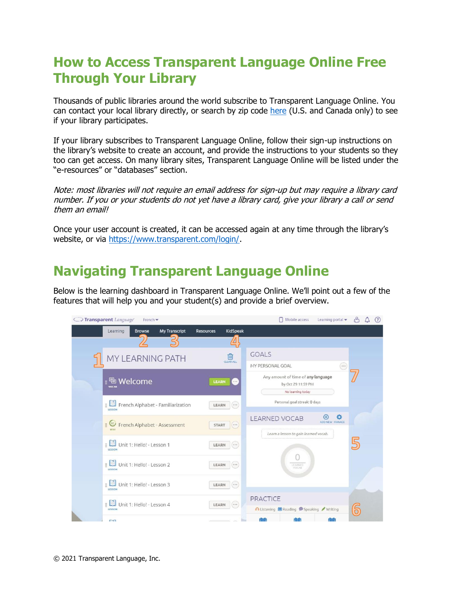# <span id="page-3-0"></span>**How to Access Transparent Language Online Free Through Your Library**

Thousands of public libraries around the world subscribe to Transparent Language Online. You can contact your local library directly, or search by zip code [here](https://www.transparent.com/libraries/) (U.S. and Canada only) to see if your library participates.

If your library subscribes to Transparent Language Online, follow their sign-up instructions on the library's website to create an account, and provide the instructions to your students so they too can get access. On many library sites, Transparent Language Online will be listed under the "e-resources" or "databases" section.

Note: most libraries will not require an email address for sign-up but may require a library card number. If you or your students do not yet have a library card, give your library a call or send them an email!

Once your user account is created, it can be accessed again at any time through the library's website, or via [https://www.transparent.com/login/.](https://www.transparent.com/login/)

# **Navigating Transparent Language Online**

Below is the learning dashboard in Transparent Language Online. We'll point out a few of the features that will help you and your student(s) and provide a brief overview.

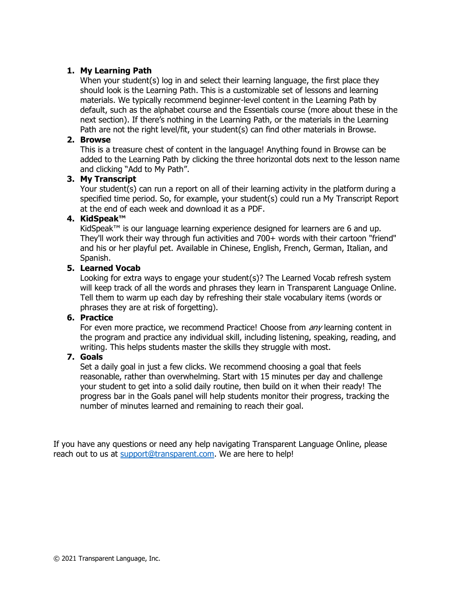### **1. My Learning Path**

When your student(s) log in and select their learning language, the first place they should look is the Learning Path. This is a customizable set of lessons and learning materials. We typically recommend beginner-level content in the Learning Path by default, such as the alphabet course and the Essentials course (more about these in the next section). If there's nothing in the Learning Path, or the materials in the Learning Path are not the right level/fit, your student(s) can find other materials in Browse.

### **2. Browse**

This is a treasure chest of content in the language! Anything found in Browse can be added to the Learning Path by clicking the three horizontal dots next to the lesson name and clicking "Add to My Path".

#### **3. My Transcript**

Your student(s) can run a report on all of their learning activity in the platform during a specified time period. So, for example, your student(s) could run a My Transcript Report at the end of each week and download it as a PDF.

#### **4. KidSpeak™**

KidSpeak™ is our language learning experience designed for learners are 6 and up. They'll work their way through fun activities and 700+ words with their cartoon "friend" and his or her playful pet. Available in Chinese, English, French, German, Italian, and Spanish.

#### **5. Learned Vocab**

Looking for extra ways to engage your student(s)? The Learned Vocab refresh system will keep track of all the words and phrases they learn in Transparent Language Online. Tell them to warm up each day by refreshing their stale vocabulary items (words or phrases they are at risk of forgetting).

#### **6. Practice**

For even more practice, we recommend Practice! Choose from *any* learning content in the program and practice any individual skill, including listening, speaking, reading, and writing. This helps students master the skills they struggle with most.

### **7. Goals**

Set a daily goal in just a few clicks. We recommend choosing a goal that feels reasonable, rather than overwhelming. Start with 15 minutes per day and challenge your student to get into a solid daily routine, then build on it when their ready! The progress bar in the Goals panel will help students monitor their progress, tracking the number of minutes learned and remaining to reach their goal.

If you have any questions or need any help navigating Transparent Language Online, please reach out to us at [support@transparent.com.](mailto:support@transparent.com) We are here to help!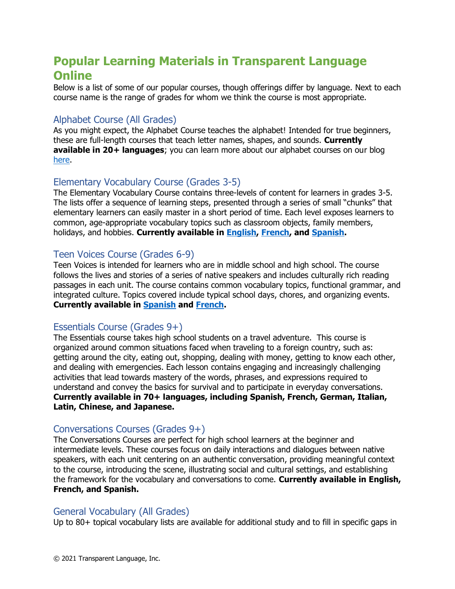# <span id="page-5-0"></span>**Popular Learning Materials in Transparent Language Online**

Below is a list of some of our popular courses, though offerings differ by language. Next to each course name is the range of grades for whom we think the course is most appropriate.

# <span id="page-5-1"></span>Alphabet Course (All Grades)

As you might expect, the Alphabet Course teaches the alphabet! Intended for true beginners, these are full-length courses that teach letter names, shapes, and sounds. **Currently available in 20+ languages**; you can learn more about our alphabet courses on our blog [here.](https://blogs.transparent.com/language-news/2015/05/18/the-abcs-of-language-learning-transparent-language-online-alphabet-courses/)

## <span id="page-5-2"></span>Elementary Vocabulary Course (Grades 3-5)

The Elementary Vocabulary Course contains three-levels of content for learners in grades 3-5. The lists offer a sequence of learning steps, presented through a series of small "chunks" that elementary learners can easily master in a short period of time. Each level exposes learners to common, age-appropriate vocabulary topics such as classroom objects, family members, holidays, and hobbies. **Currently available in [English,](https://blogs.transparent.com/language-news/2017/10/30/online-english-courses-for-elementary-esl-learners/) [French,](https://blogs.transparent.com/language-news/2016/09/05/lecole-is-in-session-with-the-french-elementary-course/) and [Spanish.](https://blogs.transparent.com/language-news/2015/08/31/go-back-to-school-en-espanol-with-new-spanish-elementary-lessons/)**

# <span id="page-5-3"></span>Teen Voices Course (Grades 6-9)

Teen Voices is intended for learners who are in middle school and high school. The course follows the lives and stories of a series of native speakers and includes culturally rich reading passages in each unit. The course contains common vocabulary topics, functional grammar, and integrated culture. Topics covered include typical school days, chores, and organizing events. **Currently available in [Spanish](https://blogs.transparent.com/language-news/2016/03/02/introducing-teen-voices-spanish-course/) and [French.](https://blogs.transparent.com/language-news/2017/07/31/online-french-course-for-teenaged-learners/)**

## <span id="page-5-4"></span>Essentials Course (Grades 9+)

The Essentials course takes high school students on a travel adventure. This course is organized around common situations faced when traveling to a foreign country, such as: getting around the city, eating out, shopping, dealing with money, getting to know each other, and dealing with emergencies. Each lesson contains engaging and increasingly challenging activities that lead towards mastery of the words, phrases, and expressions required to understand and convey the basics for survival and to participate in everyday conversations. **Currently available in 70+ languages, including Spanish, French, German, Italian, Latin, Chinese, and Japanese.**

## <span id="page-5-5"></span>Conversations Courses (Grades 9+)

The Conversations Courses are perfect for high school learners at the beginner and intermediate levels. These courses focus on daily interactions and dialogues between native speakers, with each unit centering on an authentic conversation, providing meaningful context to the course, introducing the scene, illustrating social and cultural settings, and establishing the framework for the vocabulary and conversations to come. **Currently available in English, French, and Spanish.**

## <span id="page-5-6"></span>General Vocabulary (All Grades)

Up to 80+ topical vocabulary lists are available for additional study and to fill in specific gaps in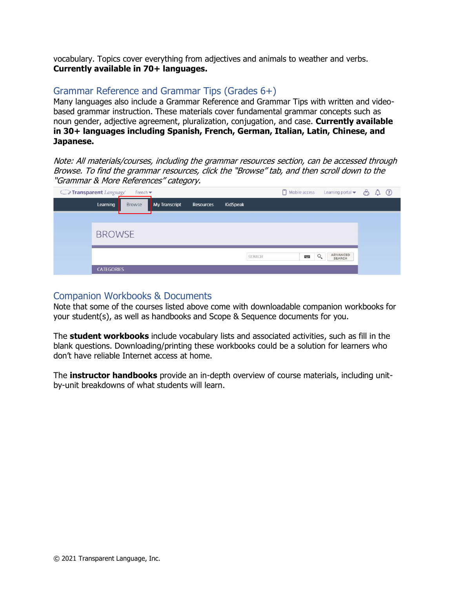vocabulary. Topics cover everything from adjectives and animals to weather and verbs. **Currently available in 70+ languages.**

### <span id="page-6-0"></span>Grammar Reference and Grammar Tips (Grades 6+)

Many languages also include a Grammar Reference and Grammar Tips with written and videobased grammar instruction. These materials cover fundamental grammar concepts such as noun gender, adjective agreement, pluralization, conjugation, and case. **Currently available in 30+ languages including Spanish, French, German, Italian, Latin, Chinese, and Japanese.**

Note: All materials/courses, including the grammar resources section, can be accessed through Browse. To find the grammar resources, click the "Browse" tab, and then scroll down to the "Grammar & More References" category.

| <b>C</b> Transparent Language |                   | French $\blacktriangleright$ |               |           |          | Mobile access | Learning portal v       | å | $\odot$ |
|-------------------------------|-------------------|------------------------------|---------------|-----------|----------|---------------|-------------------------|---|---------|
|                               | Learning          | Browse                       | My Transcript | Resources | KidSpeak |               |                         |   |         |
|                               |                   |                              |               |           |          |               |                         |   |         |
|                               | <b>BROWSE</b>     |                              |               |           |          |               |                         |   |         |
|                               |                   |                              |               |           |          |               |                         |   |         |
|                               |                   |                              |               |           | SEARCH   |               | ADVANCED<br>Q<br>SEARCH |   |         |
|                               | <b>CATEGORIES</b> |                              |               |           |          |               |                         |   |         |

### <span id="page-6-1"></span>Companion Workbooks & Documents

Note that some of the courses listed above come with downloadable companion workbooks for your student(s), as well as handbooks and Scope & Sequence documents for you.

The **student workbooks** include vocabulary lists and associated activities, such as fill in the blank questions. Downloading/printing these workbooks could be a solution for learners who don't have reliable Internet access at home.

The **instructor handbooks** provide an in-depth overview of course materials, including unitby-unit breakdowns of what students will learn.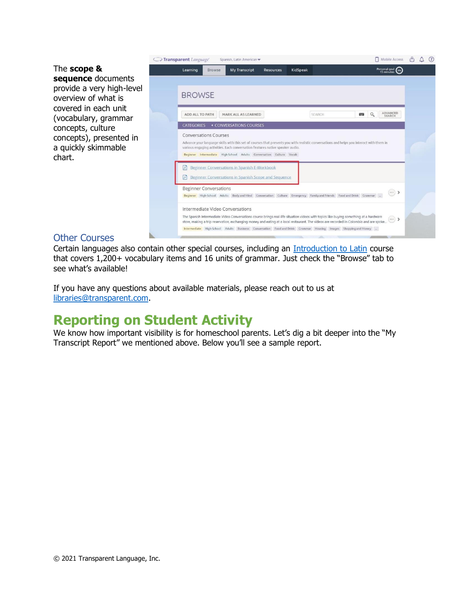The **scope & sequence** documents provide a very high-level overview of what is covered in each unit (vocabulary, grammar concepts, culture concepts), presented in a quickly skimmable chart.

| C2 Transparent Language®<br>Spanish, Latin American                                                                                                                                                                                                                                                                                                                                                                                   | Mobile Access                                                          | (2)<br>ò |
|---------------------------------------------------------------------------------------------------------------------------------------------------------------------------------------------------------------------------------------------------------------------------------------------------------------------------------------------------------------------------------------------------------------------------------------|------------------------------------------------------------------------|----------|
| Learning<br><b>My Transcript</b><br><b>KidSpeak</b><br><b>Resources</b><br>Browse                                                                                                                                                                                                                                                                                                                                                     | Personal goal<br>15 minutes                                            |          |
| <b>BROWSE</b>                                                                                                                                                                                                                                                                                                                                                                                                                         |                                                                        |          |
| ADD ALL TO PATH<br>MARK ALL AS LEARNED                                                                                                                                                                                                                                                                                                                                                                                                | ADVANCED<br>$\Omega$<br><b>SEARCH</b><br><b>STORY</b><br><b>SEARCH</b> |          |
| <b>CATEGORIES</b><br><b><i>&lt; CONVERSATIONS COURSES</i></b>                                                                                                                                                                                                                                                                                                                                                                         |                                                                        |          |
| Conversations Courses<br>Advance your language skills with this set of courses that presents you with realistic conversations and helps you interact with them in<br>various engaging activities. Each conversation features native speaker audio.<br>Beginner Intermediate High-School Adults Conversation Culture Vocab                                                                                                             |                                                                        |          |
| Beginner Conversations in Spanish E-Workbook<br>闪<br>Beginner Conversations in Spanish Scope and Sequence<br>闪                                                                                                                                                                                                                                                                                                                        |                                                                        |          |
| <b>Beginner Conversations</b><br>Beginner High-School Adults Body and Mind Conversation Culture Emergency Family and Friends Food and Drink Grammar                                                                                                                                                                                                                                                                                   | $\cdots$ >                                                             |          |
| Intermediate Video Conversations<br>The Spanish Intermediate Video Conversations course brings real-life situation videos with topics like buying something at a hardware<br>store, making a trip reservation, exchanging money and eating at a local restaurant. The videos are recorded in Colombia and are spoke<br>Intermediate High-School Adults Business Conversation Food and Drink Grammar Housing Images Shopping and Money | $\cdots$ >                                                             |          |

### <span id="page-7-0"></span>Other Courses

Certain languages also contain other special courses, including an *Introduction to Latin* course that covers 1,200+ vocabulary items and 16 units of grammar. Just check the "Browse" tab to see what's available!

If you have any questions about available materials, please reach out to us at [libraries@transparent.com.](mailto:libraries@transparent.com)

# <span id="page-7-1"></span>**Reporting on Student Activity**

We know how important visibility is for homeschool parents. Let's dig a bit deeper into the "My Transcript Report" we mentioned above. Below you'll see a sample report.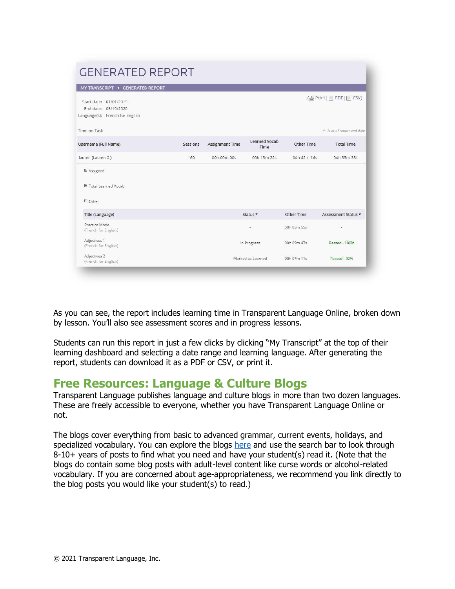| MY TRANSCRIPT 4 GENERATED REPORT                                                  |          |                        |                       |             |                              |
|-----------------------------------------------------------------------------------|----------|------------------------|-----------------------|-------------|------------------------------|
| Start date: 01/01/2019<br>End date: 03/19/2020<br>Language(s): French for English |          |                        |                       |             | (A Print   E PDE   E CSV)    |
| Time on Task                                                                      |          |                        |                       |             | * - is as of report end date |
| Username (Full Name)                                                              | Sessions | <b>Assignment Time</b> | Learned Vocab<br>Time | Other Time  | <b>Total Time</b>            |
| lauren (Lauren G.)                                                                | 160      | 00h 00m 00s            | 00h 13m 22s           | 04h 42m 16s | 04h 55m 38s                  |
| 田 Assigned<br>田 Total Learned Vocab<br>日 Other                                    |          |                        |                       |             |                              |
| Title (Language)                                                                  |          |                        | Status <sup>*</sup>   | Other Time  | Assessment Status *          |
| Practice Mode<br>(French for English)                                             |          |                        |                       | 00h 03m 55s |                              |
|                                                                                   |          | In Progress            |                       | 00h 09m 47s | Passed - 100%                |
| Adjectives 1<br>(French for English)                                              |          |                        |                       |             |                              |

As you can see, the report includes learning time in Transparent Language Online, broken down by lesson. You'll also see assessment scores and in progress lessons.

Students can run this report in just a few clicks by clicking "My Transcript" at the top of their learning dashboard and selecting a date range and learning language. After generating the report, students can download it as a PDF or CSV, or print it.

# <span id="page-8-0"></span>**Free Resources: Language & Culture Blogs**

Transparent Language publishes language and culture blogs in more than two dozen languages. These are freely accessible to everyone, whether you have Transparent Language Online or not.

The blogs cover everything from basic to advanced grammar, current events, holidays, and specialized vocabulary. You can explore the blogs [here](https://blogs.transparent.com/) and use the search bar to look through 8-10+ years of posts to find what you need and have your student(s) read it. (Note that the blogs do contain some blog posts with adult-level content like curse words or alcohol-related vocabulary. If you are concerned about age-appropriateness, we recommend you link directly to the blog posts you would like your student(s) to read.)